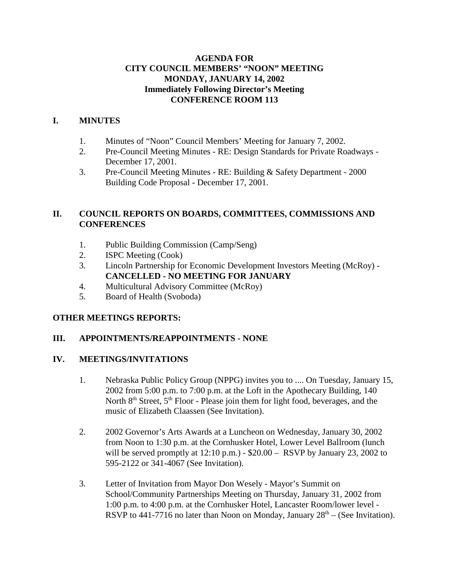## **AGENDA FOR CITY COUNCIL MEMBERS' "NOON" MEETING MONDAY, JANUARY 14, 2002 Immediately Following Director's Meeting CONFERENCE ROOM 113**

## **I. MINUTES**

- 1. Minutes of "Noon" Council Members' Meeting for January 7, 2002.
- 2. Pre-Council Meeting Minutes RE: Design Standards for Private Roadways December 17, 2001.
- 3. Pre-Council Meeting Minutes RE: Building & Safety Department 2000 Building Code Proposal - December 17, 2001.

## **II. COUNCIL REPORTS ON BOARDS, COMMITTEES, COMMISSIONS AND CONFERENCES**

- 1. Public Building Commission (Camp/Seng)
- 2. ISPC Meeting (Cook)
- 3. Lincoln Partnership for Economic Development Investors Meeting (McRoy) **CANCELLED - NO MEETING FOR JANUARY**
- 4. Multicultural Advisory Committee (McRoy)
- 5. Board of Health (Svoboda)

## **OTHER MEETINGS REPORTS:**

## **III. APPOINTMENTS/REAPPOINTMENTS - NONE**

## **IV. MEETINGS/INVITATIONS**

- 1. Nebraska Public Policy Group (NPPG) invites you to .... On Tuesday, January 15, 2002 from 5:00 p.m. to 7:00 p.m. at the Loft in the Apothecary Building, 140 North  $8<sup>th</sup>$  Street,  $5<sup>th</sup>$  Floor - Please join them for light food, beverages, and the music of Elizabeth Claassen (See Invitation).
- 2. 2002 Governor's Arts Awards at a Luncheon on Wednesday, January 30, 2002 from Noon to 1:30 p.m. at the Cornhusker Hotel, Lower Level Ballroom (lunch will be served promptly at  $12:10 \text{ p.m.}$ ) -  $$20.00 -$  RSVP by January 23, 2002 to 595-2122 or 341-4067 (See Invitation).
- 3. Letter of Invitation from Mayor Don Wesely Mayor's Summit on School/Community Partnerships Meeting on Thursday, January 31, 2002 from 1:00 p.m. to 4:00 p.m. at the Cornhusker Hotel, Lancaster Room/lower level - RSVP to 441-7716 no later than Noon on Monday, January  $28<sup>th</sup> - (See Invitation)$ .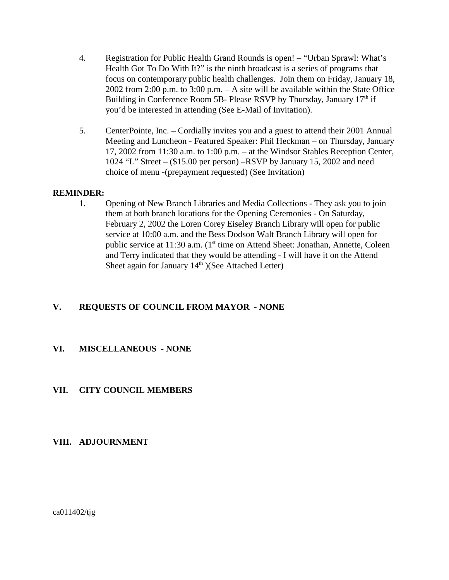- 4. Registration for Public Health Grand Rounds is open! "Urban Sprawl: What's Health Got To Do With It?" is the ninth broadcast is a series of programs that focus on contemporary public health challenges. Join them on Friday, January 18, 2002 from 2:00 p.m. to 3:00 p.m. – A site will be available within the State Office Building in Conference Room 5B- Please RSVP by Thursday, January  $17<sup>th</sup>$  if you'd be interested in attending (See E-Mail of Invitation).
- 5. CenterPointe, Inc. Cordially invites you and a guest to attend their 2001 Annual Meeting and Luncheon - Featured Speaker: Phil Heckman – on Thursday, January 17, 2002 from 11:30 a.m. to 1:00 p.m. – at the Windsor Stables Reception Center, 1024 "L" Street – (\$15.00 per person) –RSVP by January 15, 2002 and need choice of menu -(prepayment requested) (See Invitation)

## **REMINDER:**

1. Opening of New Branch Libraries and Media Collections - They ask you to join them at both branch locations for the Opening Ceremonies - On Saturday, February 2, 2002 the Loren Corey Eiseley Branch Library will open for public service at 10:00 a.m. and the Bess Dodson Walt Branch Library will open for public service at 11:30 a.m. (1<sup>st</sup> time on Attend Sheet: Jonathan, Annette, Coleen and Terry indicated that they would be attending - I will have it on the Attend Sheet again for January  $14<sup>th</sup>$ )(See Attached Letter)

## **V. REQUESTS OF COUNCIL FROM MAYOR - NONE**

## **VI. MISCELLANEOUS - NONE**

## **VII. CITY COUNCIL MEMBERS**

#### **VIII. ADJOURNMENT**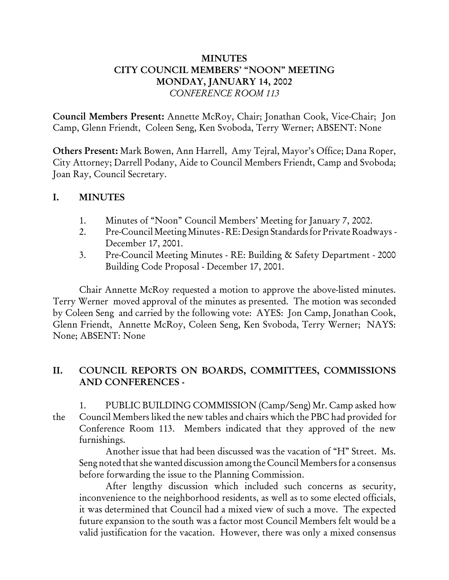## MINUTES CITY COUNCIL MEMBERS' "NOON" MEETING MONDAY, JANUARY 14, 2002 *CONFERENCE ROOM 113*

Council Members Present: Annette McRoy, Chair; Jonathan Cook, Vice-Chair; Jon Camp, Glenn Friendt, Coleen Seng, Ken Svoboda, Terry Werner; ABSENT: None

Others Present: Mark Bowen, Ann Harrell, Amy Tejral, Mayor's Office; Dana Roper, City Attorney; Darrell Podany, Aide to Council Members Friendt, Camp and Svoboda; Joan Ray, Council Secretary.

## I. MINUTES

- 1. Minutes of "Noon" Council Members' Meeting for January 7, 2002.
- 2. Pre-Council Meeting Minutes RE: Design Standards for Private Roadways December 17, 2001.
- 3. Pre-Council Meeting Minutes RE: Building & Safety Department 2000 Building Code Proposal - December 17, 2001.

Chair Annette McRoy requested a motion to approve the above-listed minutes. Terry Werner moved approval of the minutes as presented. The motion was seconded by Coleen Seng and carried by the following vote: AYES: Jon Camp, Jonathan Cook, Glenn Friendt, Annette McRoy, Coleen Seng, Ken Svoboda, Terry Werner; NAYS: None; ABSENT: None

# II. COUNCIL REPORTS ON BOARDS, COMMITTEES, COMMISSIONS AND CONFERENCES -

1. PUBLIC BUILDING COMMISSION (Camp/Seng) Mr. Camp asked how the Council Members liked the new tables and chairs which the PBC had provided for Conference Room 113. Members indicated that they approved of the new furnishings.

Another issue that had been discussed was the vacation of "H" Street. Ms. Seng noted that she wanted discussion among the Council Members for a consensus before forwarding the issue to the Planning Commission.

After lengthy discussion which included such concerns as security, inconvenience to the neighborhood residents, as well as to some elected officials, it was determined that Council had a mixed view of such a move. The expected future expansion to the south was a factor most Council Members felt would be a valid justification for the vacation. However, there was only a mixed consensus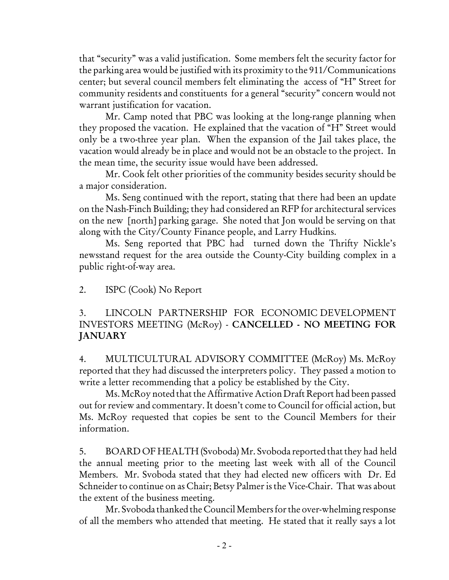that "security" was a valid justification. Some members felt the security factor for the parking area would be justified with its proximity to the 911/Communications center; but several council members felt eliminating the access of "H" Street for community residents and constituents for a general "security" concern would not warrant justification for vacation.

Mr. Camp noted that PBC was looking at the long-range planning when they proposed the vacation. He explained that the vacation of "H" Street would only be a two-three year plan. When the expansion of the Jail takes place, the vacation would already be in place and would not be an obstacle to the project. In the mean time, the security issue would have been addressed.

Mr. Cook felt other priorities of the community besides security should be a major consideration.

Ms. Seng continued with the report, stating that there had been an update on the Nash-Finch Building; they had considered an RFP for architectural services on the new [north] parking garage. She noted that Jon would be serving on that along with the City/County Finance people, and Larry Hudkins.

Ms. Seng reported that PBC had turned down the Thrifty Nickle's newsstand request for the area outside the County-City building complex in a public right-of-way area.

2. ISPC (Cook) No Report

# 3. LINCOLN PARTNERSHIP FOR ECONOMIC DEVELOPMENT INVESTORS MEETING (McRoy) - CANCELLED - NO MEETING FOR **JANUARY**

4. MULTICULTURAL ADVISORY COMMITTEE (McRoy) Ms. McRoy reported that they had discussed the interpreters policy. They passed a motion to write a letter recommending that a policy be established by the City.

Ms. McRoy noted that the Affirmative Action Draft Report had been passed out for review and commentary. It doesn't come to Council for official action, but Ms. McRoy requested that copies be sent to the Council Members for their information.

5. BOARD OF HEALTH (Svoboda) Mr. Svoboda reported that they had held the annual meeting prior to the meeting last week with all of the Council Members. Mr. Svoboda stated that they had elected new officers with Dr. Ed Schneider to continue on as Chair; Betsy Palmer is the Vice-Chair. That was about the extent of the business meeting.

Mr. Svoboda thanked the Council Members for the over-whelming response of all the members who attended that meeting. He stated that it really says a lot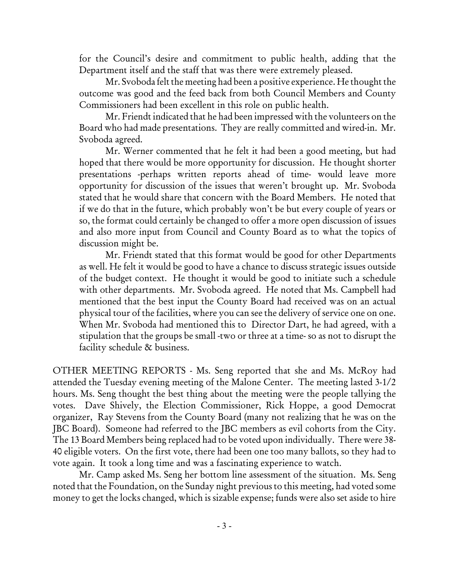for the Council's desire and commitment to public health, adding that the Department itself and the staff that was there were extremely pleased.

Mr. Svoboda felt the meeting had been a positive experience. He thought the outcome was good and the feed back from both Council Members and County Commissioners had been excellent in this role on public health.

Mr. Friendt indicated that he had been impressed with the volunteers on the Board who had made presentations. They are really committed and wired-in. Mr. Svoboda agreed.

Mr. Werner commented that he felt it had been a good meeting, but had hoped that there would be more opportunity for discussion. He thought shorter presentations -perhaps written reports ahead of time- would leave more opportunity for discussion of the issues that weren't brought up. Mr. Svoboda stated that he would share that concern with the Board Members. He noted that if we do that in the future, which probably won't be but every couple of years or so, the format could certainly be changed to offer a more open discussion of issues and also more input from Council and County Board as to what the topics of discussion might be.

Mr. Friendt stated that this format would be good for other Departments as well. He felt it would be good to have a chance to discuss strategic issues outside of the budget context. He thought it would be good to initiate such a schedule with other departments. Mr. Svoboda agreed. He noted that Ms. Campbell had mentioned that the best input the County Board had received was on an actual physical tour of the facilities, where you can see the delivery of service one on one. When Mr. Svoboda had mentioned this to Director Dart, he had agreed, with a stipulation that the groups be small -two or three at a time- so as not to disrupt the facility schedule & business.

OTHER MEETING REPORTS - Ms. Seng reported that she and Ms. McRoy had attended the Tuesday evening meeting of the Malone Center. The meeting lasted 3-1/2 hours. Ms. Seng thought the best thing about the meeting were the people tallying the votes. Dave Shively, the Election Commissioner, Rick Hoppe, a good Democrat organizer, Ray Stevens from the County Board (many not realizing that he was on the JBC Board). Someone had referred to the JBC members as evil cohorts from the City. The 13 Board Members being replaced had to be voted upon individually. There were 38- 40 eligible voters. On the first vote, there had been one too many ballots, so they had to vote again. It took a long time and was a fascinating experience to watch.

Mr. Camp asked Ms. Seng her bottom line assessment of the situation. Ms. Seng noted that the Foundation, on the Sunday night previous to this meeting, had voted some money to get the locks changed, which is sizable expense; funds were also set aside to hire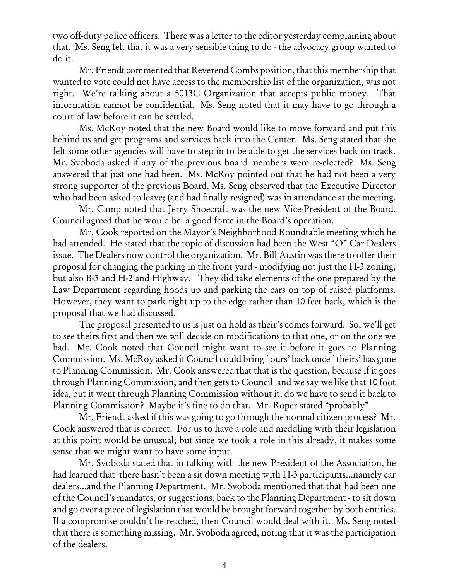two off-duty police officers. There was a letter to the editor yesterday complaining about that. Ms. Seng felt that it was a very sensible thing to do - the advocacy group wanted to do it.

Mr. Friendt commented that Reverend Combs position, that this membership that wanted to vote could not have access to the membership list of the organization, was not right. We're talking about a 5013C Organization that accepts public money. That information cannot be confidential. Ms. Seng noted that it may have to go through a court of law before it can be settled.

Ms. McRoy noted that the new Board would like to move forward and put this behind us and get programs and services back into the Center. Ms. Seng stated that she felt some other agencies will have to step in to be able to get the services back on track. Mr. Svoboda asked if any of the previous board members were re-elected? Ms. Seng answered that just one had been. Ms. McRoy pointed out that he had not been a very strong supporter of the previous Board. Ms. Seng observed that the Executive Director who had been asked to leave; (and had finally resigned) was in attendance at the meeting.

Mr. Camp noted that Jerry Shoecraft was the new Vice-President of the Board. Council agreed that he would be a good force in the Board's operation.

Mr. Cook reported on the Mayor's Neighborhood Roundtable meeting which he had attended. He stated that the topic of discussion had been the West "O" Car Dealers issue. The Dealers now control the organization. Mr. Bill Austin was there to offer their proposal for changing the parking in the front yard - modifying not just the H-3 zoning, but also B-3 and H-2 and Highway. They did take elements of the one prepared by the Law Department regarding hoods up and parking the cars on top of raised platforms. However, they want to park right up to the edge rather than 10 feet back, which is the proposal that we had discussed.

The proposal presented to us is just on hold as their's comes forward. So, we'll get to see theirs first and then we will decide on modifications to that one, or on the one we had. Mr. Cook noted that Council might want to see it before it goes to Planning Commission. Ms. McRoy asked if Council could bring `ours' back once `theirs' has gone to Planning Commission. Mr. Cook answered that that is the question, because if it goes through Planning Commission, and then gets to Council and we say we like that 10 foot idea, but it went through Planning Commission without it, do we have to send it back to Planning Commission? Maybe it's fine to do that. Mr. Roper stated "probably".

Mr. Friendt asked if this was going to go through the normal citizen process? Mr. Cook answered that is correct. For us to have a role and meddling with their legislation at this point would be unusual; but since we took a role in this already, it makes some sense that we might want to have some input.

Mr. Svoboda stated that in talking with the new President of the Association, he had learned that there hasn't been a sit down meeting with H-3 participants...namely car dealers...and the Planning Department. Mr. Svoboda mentioned that that had been one of the Council's mandates, or suggestions, back to the Planning Department - to sit down and go over a piece of legislation that would be brought forward together by both entities. If a compromise couldn't be reached, then Council would deal with it. Ms. Seng noted that there is something missing. Mr. Svoboda agreed, noting that it was the participation of the dealers.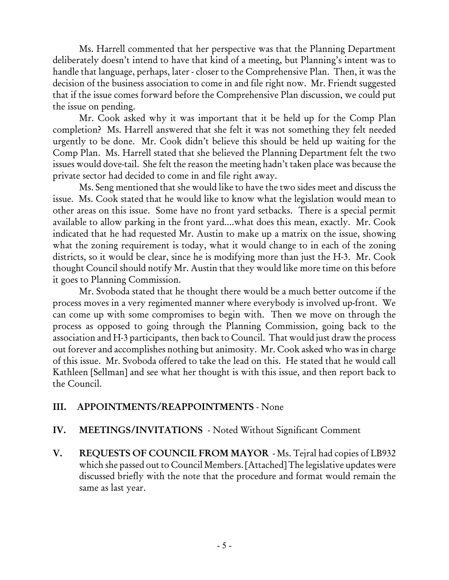Ms. Harrell commented that her perspective was that the Planning Department deliberately doesn't intend to have that kind of a meeting, but Planning's intent was to handle that language, perhaps, later - closer to the Comprehensive Plan. Then, it was the decision of the business association to come in and file right now. Mr. Friendt suggested that if the issue comes forward before the Comprehensive Plan discussion, we could put the issue on pending.

Mr. Cook asked why it was important that it be held up for the Comp Plan completion? Ms. Harrell answered that she felt it was not something they felt needed urgently to be done. Mr. Cook didn't believe this should be held up waiting for the Comp Plan. Ms. Harrell stated that she believed the Planning Department felt the two issues would dove-tail. She felt the reason the meeting hadn't taken place was because the private sector had decided to come in and file right away.

Ms. Seng mentioned that she would like to have the two sides meet and discuss the issue. Ms. Cook stated that he would like to know what the legislation would mean to other areas on this issue. Some have no front yard setbacks. There is a special permit available to allow parking in the front yard....what does this mean, exactly. Mr. Cook indicated that he had requested Mr. Austin to make up a matrix on the issue, showing what the zoning requirement is today, what it would change to in each of the zoning districts, so it would be clear, since he is modifying more than just the H-3. Mr. Cook thought Council should notify Mr. Austin that they would like more time on this before it goes to Planning Commission.

Mr. Svoboda stated that he thought there would be a much better outcome if the process moves in a very regimented manner where everybody is involved up-front. We can come up with some compromises to begin with. Then we move on through the process as opposed to going through the Planning Commission, going back to the association and H-3 participants, then back to Council. That would just draw the process out forever and accomplishes nothing but animosity. Mr. Cook asked who was in charge of this issue. Mr. Svoboda offered to take the lead on this. He stated that he would call Kathleen [Sellman] and see what her thought is with this issue, and then report back to the Council.

# III. APPOINTMENTS/REAPPOINTMENTS - None

# IV. MEETINGS/INVITATIONS - Noted Without Significant Comment

V. REQUESTS OF COUNCIL FROM MAYOR - Ms. Tejral had copies of LB932 which she passed out to Council Members. [Attached] The legislative updates were discussed briefly with the note that the procedure and format would remain the same as last year.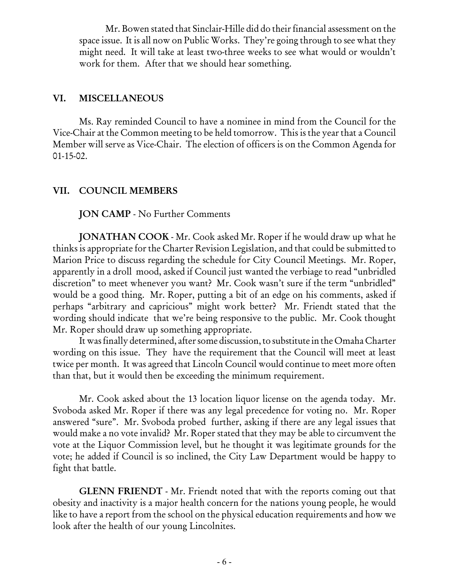Mr. Bowen stated that Sinclair-Hille did do their financial assessment on the space issue. It is all now on Public Works. They're going through to see what they might need. It will take at least two-three weeks to see what would or wouldn't work for them. After that we should hear something.

## VI. MISCELLANEOUS

Ms. Ray reminded Council to have a nominee in mind from the Council for the Vice-Chair at the Common meeting to be held tomorrow. This is the year that a Council Member will serve as Vice-Chair. The election of officers is on the Common Agenda for 01-15-02.

# VII. COUNCIL MEMBERS

JON CAMP - No Further Comments

JONATHAN COOK - Mr. Cook asked Mr. Roper if he would draw up what he thinks is appropriate for the Charter Revision Legislation, and that could be submitted to Marion Price to discuss regarding the schedule for City Council Meetings. Mr. Roper, apparently in a droll mood, asked if Council just wanted the verbiage to read "unbridled discretion" to meet whenever you want? Mr. Cook wasn't sure if the term "unbridled" would be a good thing. Mr. Roper, putting a bit of an edge on his comments, asked if perhaps "arbitrary and capricious" might work better? Mr. Friendt stated that the wording should indicate that we're being responsive to the public. Mr. Cook thought Mr. Roper should draw up something appropriate.

It was finally determined, after some discussion, to substitute in the Omaha Charter wording on this issue. They have the requirement that the Council will meet at least twice per month. It was agreed that Lincoln Council would continue to meet more often than that, but it would then be exceeding the minimum requirement.

Mr. Cook asked about the 13 location liquor license on the agenda today. Mr. Svoboda asked Mr. Roper if there was any legal precedence for voting no. Mr. Roper answered "sure". Mr. Svoboda probed further, asking if there are any legal issues that would make a no vote invalid? Mr. Roper stated that they may be able to circumvent the vote at the Liquor Commission level, but he thought it was legitimate grounds for the vote; he added if Council is so inclined, the City Law Department would be happy to fight that battle.

GLENN FRIENDT - Mr. Friendt noted that with the reports coming out that obesity and inactivity is a major health concern for the nations young people, he would like to have a report from the school on the physical education requirements and how we look after the health of our young Lincolnites.